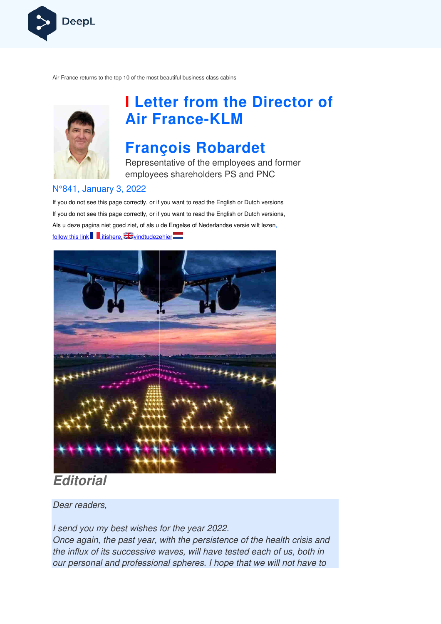

Air France returns to the top 10 of the most beautiful business class cabins



# **I Letter from the Director of Air France France-KLM**

# **François Robardet**

Representative of the employees and former employees shareholders PS and PNC

#### N°841, January 3, 2022

If you do not see this page correctly, or if you want to read the English or Dutch versions If you do not see this page correctly, or if you want to read the English or Dutch versions, Als u deze pagina niet goed ziet, of als u de Engelse of Nederlandse v versie wilt lezen, follow this link ,itishere,



### **Editorial**

Dear readers,

I send you my best wishes for the year 2022. Once again, the past year, with the persistence of the health crisis and the influx of its successive waves, will have tested each of us, both in our personal and professional spheres. I hope that we will not have to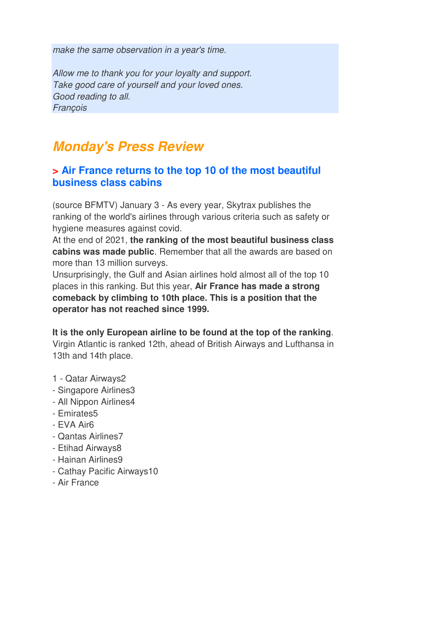make the same observation in a year's time.

Allow me to thank you for your loyalty and support. Take good care of yourself and your loved ones. Good reading to all. **François** 

## **Monday's Press Review**

#### **> Air France returns to the top 10 of the most beautiful business class cabins**

(source BFMTV) January 3 - As every year, Skytrax publishes the ranking of the world's airlines through various criteria such as safety or hygiene measures against covid.

At the end of 2021, **the ranking of the most beautiful business class cabins was made public**. Remember that all the awards are based on more than 13 million surveys.

Unsurprisingly, the Gulf and Asian airlines hold almost all of the top 10 places in this ranking. But this year, **Air France has made a strong comeback by climbing to 10th place. This is a position that the operator has not reached since 1999.** 

**It is the only European airline to be found at the top of the ranking**. Virgin Atlantic is ranked 12th, ahead of British Airways and Lufthansa in 13th and 14th place.

- 1 Qatar Airways2
- Singapore Airlines3
- All Nippon Airlines4
- Emirates5
- EVA Air6
- Qantas Airlines7
- Etihad Airways8
- Hainan Airlines9
- Cathay Pacific Airways10
- Air France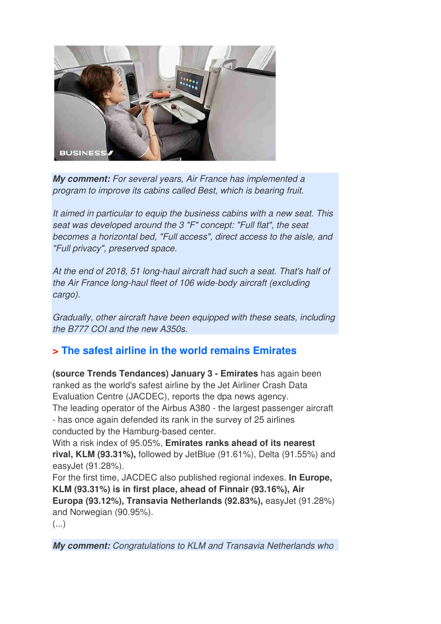

**My comment:** For several years, Air France has implemented a program to improve its cabins called Best, which is bearing fruit.

It aimed in particular to equip the business cabins with a new seat. This seat was developed around the 3 "F" concept: "Full flat", the seat becomes a horizontal bed, "Full access", direct access to the aisle, and "Full privacy", preserved space.

At the end of 2018, 51 long-haul aircraft had such a seat. That's half of the Air France long-haul fleet of 106 wide-body aircraft (excluding cargo).

Gradually, other aircraft have been equipped with these seats, including the B777 COI and the new A350s.

### **> The safest airline in the world remains Emirates**

**(source Trends Tendances) January 3 - Emirates** has again been ranked as the world's safest airline by the Jet Airliner Crash Data Evaluation Centre (JACDEC), reports the dpa news agency. The leading operator of the Airbus A380 - the largest passenger aircraft - has once again defended its rank in the survey of 25 airlines conducted by the Hamburg-based center.

With a risk index of 95.05%, **Emirates ranks ahead of its nearest rival, KLM (93.31%),** followed by JetBlue (91.61%), Delta (91.55%) and easyJet (91.28%).

For the first time, JACDEC also published regional indexes. **In Europe, KLM (93.31%) is in first place, ahead of Finnair (93.16%), Air Europa (93.12%), Transavia Netherlands (92.83%),** easyJet (91.28%) and Norwegian (90.95%).

(...)

**My comment:** Congratulations to KLM and Transavia Netherlands who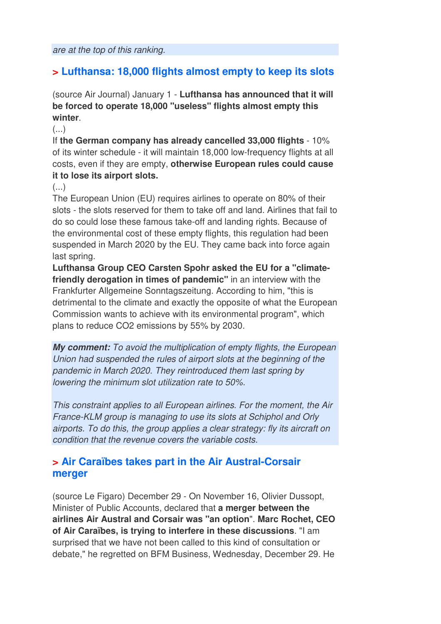### **> Lufthansa: 18,000 flights almost empty to keep its slots**

(source Air Journal) January 1 - **Lufthansa has announced that it will be forced to operate 18,000 "useless" flights almost empty this winter**.

 $(\ldots)$ 

If **the German company has already cancelled 33,000 flights** - 10% of its winter schedule - it will maintain 18,000 low-frequency flights at all costs, even if they are empty, **otherwise European rules could cause it to lose its airport slots.** 

(...)

The European Union (EU) requires airlines to operate on 80% of their slots - the slots reserved for them to take off and land. Airlines that fail to do so could lose these famous take-off and landing rights. Because of the environmental cost of these empty flights, this regulation had been suspended in March 2020 by the EU. They came back into force again last spring.

**Lufthansa Group CEO Carsten Spohr asked the EU for a "climatefriendly derogation in times of pandemic"** in an interview with the Frankfurter Allgemeine Sonntagszeitung. According to him, "this is detrimental to the climate and exactly the opposite of what the European Commission wants to achieve with its environmental program", which plans to reduce CO2 emissions by 55% by 2030.

**My comment:** To avoid the multiplication of empty flights, the European Union had suspended the rules of airport slots at the beginning of the pandemic in March 2020. They reintroduced them last spring by lowering the minimum slot utilization rate to 50%.

This constraint applies to all European airlines. For the moment, the Air France-KLM group is managing to use its slots at Schiphol and Orly airports. To do this, the group applies a clear strategy: fly its aircraft on condition that the revenue covers the variable costs.

#### **> Air Caraïbes takes part in the Air Austral-Corsair merger**

(source Le Figaro) December 29 - On November 16, Olivier Dussopt, Minister of Public Accounts, declared that **a merger between the airlines Air Austral and Corsair was "an option**". **Marc Rochet, CEO of Air Caraïbes, is trying to interfere in these discussions**. "I am surprised that we have not been called to this kind of consultation or debate," he regretted on BFM Business, Wednesday, December 29. He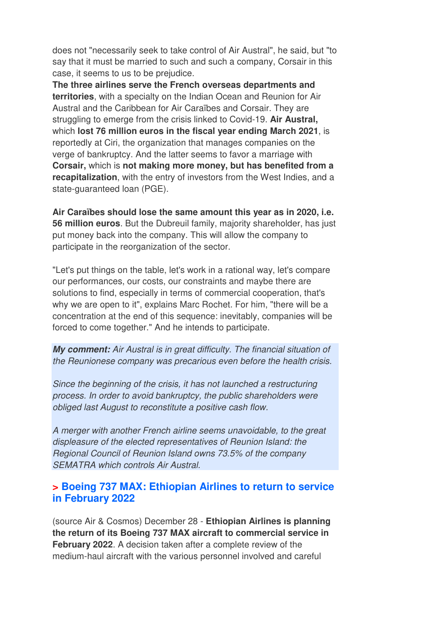does not "necessarily seek to take control of Air Austral", he said, but "to say that it must be married to such and such a company, Corsair in this case, it seems to us to be prejudice.

**The three airlines serve the French overseas departments and territories**, with a specialty on the Indian Ocean and Reunion for Air Austral and the Caribbean for Air Caraïbes and Corsair. They are struggling to emerge from the crisis linked to Covid-19. **Air Austral,**  which **lost 76 million euros in the fiscal year ending March 2021**, is reportedly at Ciri, the organization that manages companies on the verge of bankruptcy. And the latter seems to favor a marriage with **Corsair,** which is **not making more money, but has benefited from a recapitalization**, with the entry of investors from the West Indies, and a state-guaranteed loan (PGE).

**Air Caraïbes should lose the same amount this year as in 2020, i.e. 56 million euros**. But the Dubreuil family, majority shareholder, has just put money back into the company. This will allow the company to participate in the reorganization of the sector.

"Let's put things on the table, let's work in a rational way, let's compare our performances, our costs, our constraints and maybe there are solutions to find, especially in terms of commercial cooperation, that's why we are open to it", explains Marc Rochet. For him, "there will be a concentration at the end of this sequence: inevitably, companies will be forced to come together." And he intends to participate.

**My comment:** Air Austral is in great difficulty. The financial situation of the Reunionese company was precarious even before the health crisis.

Since the beginning of the crisis, it has not launched a restructuring process. In order to avoid bankruptcy, the public shareholders were obliged last August to reconstitute a positive cash flow.

A merger with another French airline seems unavoidable, to the great displeasure of the elected representatives of Reunion Island: the Regional Council of Reunion Island owns 73.5% of the company SEMATRA which controls Air Austral.

#### **> Boeing 737 MAX: Ethiopian Airlines to return to service in February 2022**

(source Air & Cosmos) December 28 - **Ethiopian Airlines is planning the return of its Boeing 737 MAX aircraft to commercial service in February 2022**. A decision taken after a complete review of the medium-haul aircraft with the various personnel involved and careful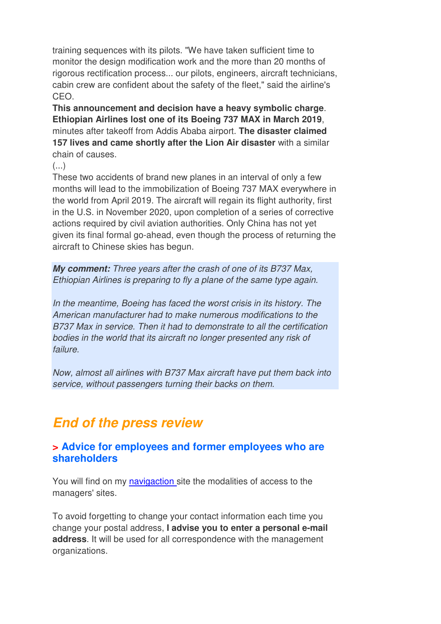training sequences with its pilots. "We have taken sufficient time to monitor the design modification work and the more than 20 months of rigorous rectification process... our pilots, engineers, aircraft technicians, cabin crew are confident about the safety of the fleet," said the airline's CEO.

**This announcement and decision have a heavy symbolic charge**. **Ethiopian Airlines lost one of its Boeing 737 MAX in March 2019**, minutes after takeoff from Addis Ababa airport. **The disaster claimed 157 lives and came shortly after the Lion Air disaster** with a similar chain of causes.

(...)

These two accidents of brand new planes in an interval of only a few months will lead to the immobilization of Boeing 737 MAX everywhere in the world from April 2019. The aircraft will regain its flight authority, first in the U.S. in November 2020, upon completion of a series of corrective actions required by civil aviation authorities. Only China has not yet given its final formal go-ahead, even though the process of returning the aircraft to Chinese skies has begun.

**My comment:** Three years after the crash of one of its B737 Max, Ethiopian Airlines is preparing to fly a plane of the same type again.

In the meantime, Boeing has faced the worst crisis in its history. The American manufacturer had to make numerous modifications to the B737 Max in service. Then it had to demonstrate to all the certification bodies in the world that its aircraft no longer presented any risk of failure.

Now, almost all airlines with B737 Max aircraft have put them back into service, without passengers turning their backs on them.

## **End of the press review**

#### **> Advice for employees and former employees who are shareholders**

You will find on my navigaction site the modalities of access to the managers' sites.

To avoid forgetting to change your contact information each time you change your postal address, **I advise you to enter a personal e-mail address**. It will be used for all correspondence with the management organizations.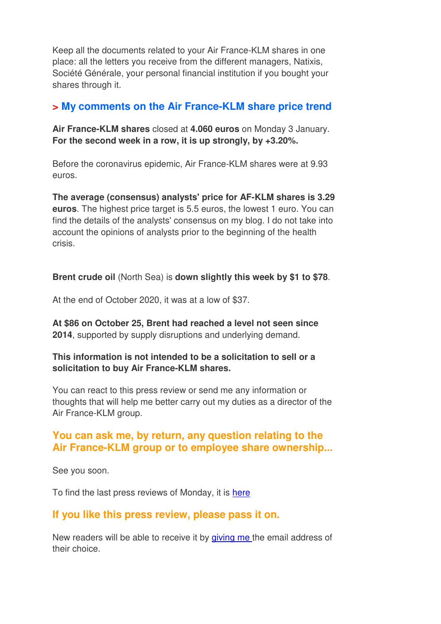Keep all the documents related to your Air France-KLM shares in one place: all the letters you receive from the different managers, Natixis, Société Générale, your personal financial institution if you bought your shares through it.

#### **> My comments on the Air France-KLM share price trend**

**Air France-KLM shares** closed at **4.060 euros** on Monday 3 January. **For the second week in a row, it is up strongly, by +3.20%.** 

Before the coronavirus epidemic, Air France-KLM shares were at 9.93 euros.

**The average (consensus) analysts' price for AF-KLM shares is 3.29 euros**. The highest price target is 5.5 euros, the lowest 1 euro. You can find the details of the analysts' consensus on my blog. I do not take into account the opinions of analysts prior to the beginning of the health crisis.

**Brent crude oil** (North Sea) is **down slightly this week by \$1 to \$78**.

At the end of October 2020, it was at a low of \$37.

**At \$86 on October 25, Brent had reached a level not seen since 2014**, supported by supply disruptions and underlying demand.

**This information is not intended to be a solicitation to sell or a solicitation to buy Air France-KLM shares.**

You can react to this press review or send me any information or thoughts that will help me better carry out my duties as a director of the Air France-KLM group.

#### **You can ask me, by return, any question relating to the Air France-KLM group or to employee share ownership...**

See you soon.

To find the last press reviews of Monday, it is here

#### **If you like this press review, please pass it on.**

New readers will be able to receive it by giving me the email address of their choice.